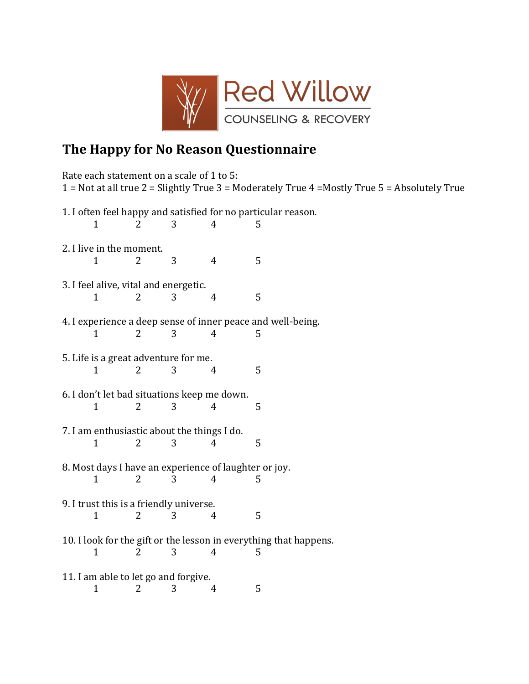

## The Happy for No Reason Questionnaire

Rate each statement on a scale of 1 to 5: 1 = Not at all true 2 = Slightly True 3 = Moderately True 4 = Mostly True 5 = Absolutely True 1. I often feel happy and satisfied for no particular reason.  $\mathbf{1}$  $\overline{2}$  $\overline{3}$  $\overline{4}$ 5 2. I live in the moment.  $\overline{4}$ 5  $\mathbf{1}$  $2^{\circ}$  $3<sup>1</sup>$ 3. I feel alive, vital and energetic.  $\overline{2}$  $3<sup>1</sup>$ 5  $\mathbf{1}$  $\overline{4}$ 4. I experience a deep sense of inner peace and well-being.  $\overline{2}$  $\overline{3}$  $\overline{4}$  $\mathbf{1}$ 5 5. Life is a great adventure for me.  $\mathbf{1}$  $\overline{2}$  $\overline{3}$  $\overline{4}$ 5 6. I don't let bad situations keep me down. 5  $\mathbf{1}$  $\overline{2}$ 3  $\overline{4}$ 7. I am enthusiastic about the things I do.  $\overline{2}$  $\overline{3}$  $\overline{4}$ 5  $\mathbf{1}$ 8. Most days I have an experience of laughter or joy.  $\mathbf{1}$  $\overline{2}$ 3  $\overline{4}$ 5 9. I trust this is a friendly universe. 3 5  $\mathbf{1}$  $\overline{2}$  $\overline{4}$ 10. I look for the gift or the lesson in everything that happens.  $\mathbf{1}$  $\overline{2}$  $\overline{3}$  $\overline{4}$ 5 11. I am able to let go and forgive.  $\mathbf{1}$  $\overline{2}$ 3  $\overline{4}$ 5